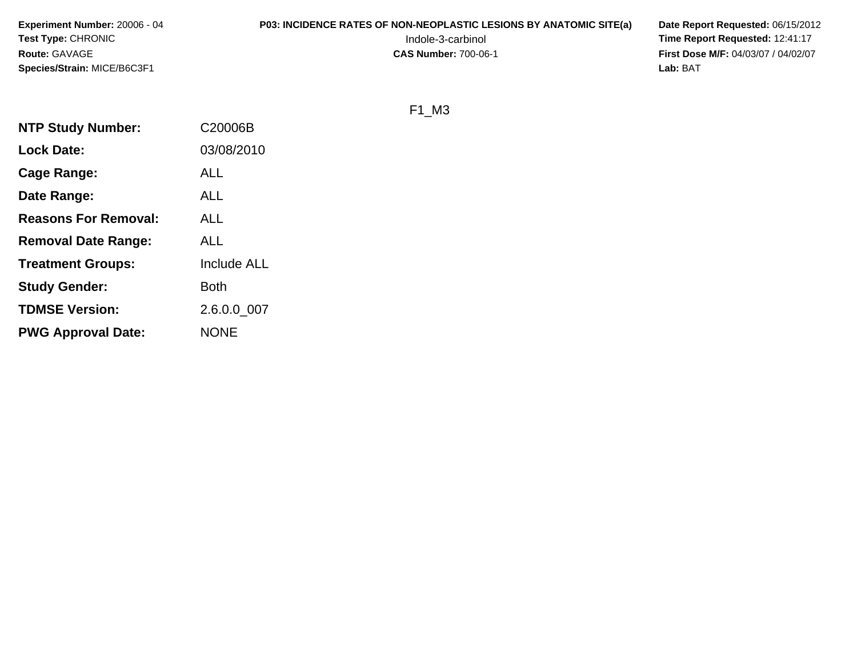**Experiment Number:** 20006 - 04**Test Type:** CHRONIC**Route:** GAVAGE**Species/Strain:** MICE/B6C3F1

# **P03: INCIDENCE RATES OF NON-NEOPLASTIC LESIONS BY ANATOMIC SITE(a) Date Report Requested: 06/15/2012<br>12:41:17 Time Report Requested: 12:41:17**

 Indole-3-carbinol **Time Report Requested:** 12:41:17 **First Dose M/F:** 04/03/07 / 04/02/07<br>Lab: BAT **Lab:** BAT

F1\_M3

| <b>NTP Study Number:</b>    | C20006B            |
|-----------------------------|--------------------|
| Lock Date:                  | 03/08/2010         |
| Cage Range:                 | ALL                |
| Date Range:                 | ALL                |
| <b>Reasons For Removal:</b> | ALL                |
| <b>Removal Date Range:</b>  | <b>ALL</b>         |
| <b>Treatment Groups:</b>    | <b>Include ALL</b> |
| <b>Study Gender:</b>        | Both               |
| <b>TDMSE Version:</b>       | 2.6.0.0 007        |
| <b>PWG Approval Date:</b>   | <b>NONE</b>        |
|                             |                    |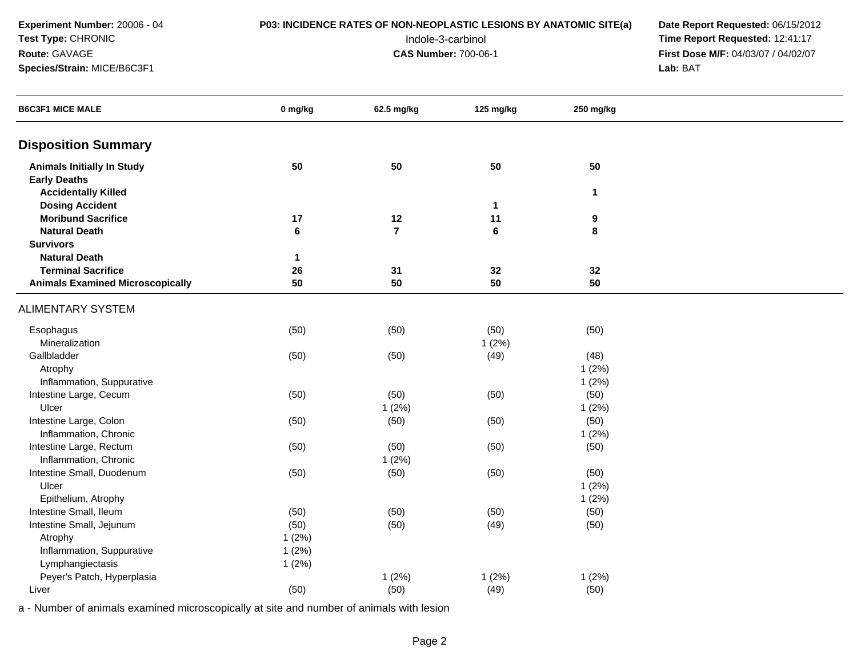**Experiment Number:** 20006 - 04**Test Type:** CHRONIC**Route:** GAVAGE

### **Species/Strain:** MICE/B6C3F1

## **P03: INCIDENCE RATES OF NON-NEOPLASTIC LESIONS BY ANATOMIC SITE(a) Date Report Requested: 06/15/2012<br>12:41:17 Time Report Requested: 12:41:17**

 Indole-3-carbinol **Time Report Requested:** 12:41:17 **First Dose M/F:** 04/03/07 / 04/02/07<br>Lab: BAT **Lab:** BAT

| <b>B6C3F1 MICE MALE</b>                 | 0 mg/kg      | 62.5 mg/kg     | 125 mg/kg | 250 mg/kg    |  |
|-----------------------------------------|--------------|----------------|-----------|--------------|--|
| <b>Disposition Summary</b>              |              |                |           |              |  |
| <b>Animals Initially In Study</b>       | 50           | 50             | 50        | 50           |  |
| <b>Early Deaths</b>                     |              |                |           |              |  |
| <b>Accidentally Killed</b>              |              |                |           | $\mathbf{1}$ |  |
| <b>Dosing Accident</b>                  |              |                | 1         |              |  |
| <b>Moribund Sacrifice</b>               | 17           | $12$           | 11        | 9            |  |
| <b>Natural Death</b>                    | $\bf 6$      | $\overline{7}$ | 6         | 8            |  |
| <b>Survivors</b>                        |              |                |           |              |  |
| <b>Natural Death</b>                    | $\mathbf{1}$ |                |           |              |  |
| <b>Terminal Sacrifice</b>               | 26           | 31             | 32        | 32           |  |
| <b>Animals Examined Microscopically</b> | 50           | 50             | 50        | 50           |  |
| <b>ALIMENTARY SYSTEM</b>                |              |                |           |              |  |
| Esophagus                               | (50)         | (50)           | (50)      | (50)         |  |
| Mineralization                          |              |                | 1(2%)     |              |  |
| Gallbladder                             | (50)         | (50)           | (49)      | (48)         |  |
| Atrophy                                 |              |                |           | 1(2%)        |  |
| Inflammation, Suppurative               |              |                |           | 1(2%)        |  |
| Intestine Large, Cecum                  | (50)         | (50)           | (50)      | (50)         |  |
| Ulcer                                   |              | 1(2%)          |           | 1(2%)        |  |
| Intestine Large, Colon                  | (50)         | (50)           | (50)      | (50)         |  |
| Inflammation, Chronic                   |              |                |           | 1(2%)        |  |
| Intestine Large, Rectum                 | (50)         | (50)           | (50)      | (50)         |  |
| Inflammation, Chronic                   |              | 1(2%)          |           |              |  |
| Intestine Small, Duodenum               | (50)         | (50)           | (50)      | (50)         |  |
| Ulcer                                   |              |                |           | 1(2%)        |  |
| Epithelium, Atrophy                     |              |                |           | 1(2%)        |  |
| Intestine Small, Ileum                  | (50)         | (50)           | (50)      | (50)         |  |
| Intestine Small, Jejunum                | (50)         | (50)           | (49)      | (50)         |  |
| Atrophy                                 | 1(2%)        |                |           |              |  |
| Inflammation, Suppurative               | 1(2%)        |                |           |              |  |
| Lymphangiectasis                        | 1(2%)        |                |           |              |  |
| Peyer's Patch, Hyperplasia              |              | 1(2%)          | 1(2%)     | 1(2%)        |  |
| Liver                                   | (50)         | (50)           | (49)      | (50)         |  |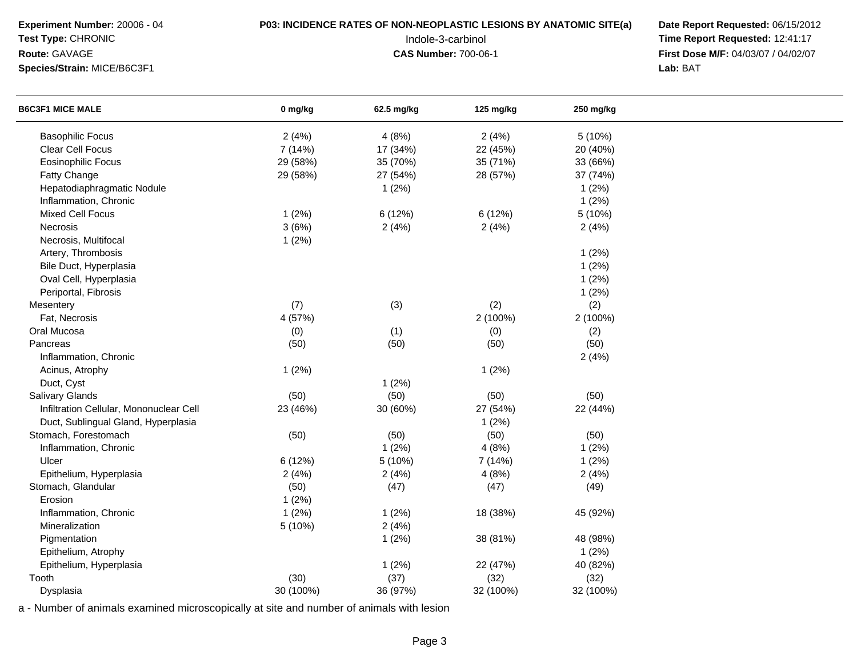**Experiment Number:** 20006 - 04**Test Type:** CHRONIC

**Species/Strain:** MICE/B6C3F1

**Route:** GAVAGE

## **P03: INCIDENCE RATES OF NON-NEOPLASTIC LESIONS BY ANATOMIC SITE(a) Date Report Requested: 06/15/2012<br>12:41:17 Time Report Requested: 12:41:17**

 Indole-3-carbinol **Time Report Requested:** 12:41:17 **First Dose M/F:** 04/03/07 / 04/02/07<br>Lab: BAT **Lab:** BAT

| <b>B6C3F1 MICE MALE</b>                 | 0 mg/kg   | 62.5 mg/kg | 125 mg/kg | 250 mg/kg |  |
|-----------------------------------------|-----------|------------|-----------|-----------|--|
| <b>Basophilic Focus</b>                 | 2(4%)     | 4(8%)      | 2(4%)     | 5(10%)    |  |
| <b>Clear Cell Focus</b>                 | 7 (14%)   | 17 (34%)   | 22 (45%)  | 20 (40%)  |  |
| <b>Eosinophilic Focus</b>               | 29 (58%)  | 35 (70%)   | 35 (71%)  | 33 (66%)  |  |
| Fatty Change                            | 29 (58%)  | 27 (54%)   | 28 (57%)  | 37 (74%)  |  |
| Hepatodiaphragmatic Nodule              |           | 1(2%)      |           | 1(2%)     |  |
| Inflammation, Chronic                   |           |            |           | 1(2%)     |  |
| Mixed Cell Focus                        | 1(2%)     | 6(12%)     | 6 (12%)   | 5 (10%)   |  |
| Necrosis                                | 3(6%)     | 2(4%)      | 2(4%)     | 2(4%)     |  |
| Necrosis, Multifocal                    | 1(2%)     |            |           |           |  |
| Artery, Thrombosis                      |           |            |           | 1(2%)     |  |
| Bile Duct, Hyperplasia                  |           |            |           | 1(2%)     |  |
| Oval Cell, Hyperplasia                  |           |            |           | 1(2%)     |  |
| Periportal, Fibrosis                    |           |            |           | 1(2%)     |  |
| Mesentery                               | (7)       | (3)        | (2)       | (2)       |  |
| Fat, Necrosis                           | 4 (57%)   |            | 2 (100%)  | 2 (100%)  |  |
| Oral Mucosa                             | (0)       | (1)        | (0)       | (2)       |  |
| Pancreas                                | (50)      | (50)       | (50)      | (50)      |  |
| Inflammation, Chronic                   |           |            |           | 2(4%)     |  |
| Acinus, Atrophy                         | 1(2%)     |            | 1(2%)     |           |  |
| Duct, Cyst                              |           | 1(2%)      |           |           |  |
| <b>Salivary Glands</b>                  | (50)      | (50)       | (50)      | (50)      |  |
| Infiltration Cellular, Mononuclear Cell | 23 (46%)  | 30 (60%)   | 27 (54%)  | 22 (44%)  |  |
| Duct, Sublingual Gland, Hyperplasia     |           |            | 1(2%)     |           |  |
| Stomach, Forestomach                    | (50)      | (50)       | (50)      | (50)      |  |
| Inflammation, Chronic                   |           | 1(2%)      | 4(8%)     | 1(2%)     |  |
| Ulcer                                   | 6 (12%)   | 5 (10%)    | 7 (14%)   | 1(2%)     |  |
| Epithelium, Hyperplasia                 | 2(4%)     | 2(4%)      | 4(8%)     | 2(4%)     |  |
| Stomach, Glandular                      | (50)      | (47)       | (47)      | (49)      |  |
| Erosion                                 | 1(2%)     |            |           |           |  |
| Inflammation, Chronic                   | 1(2%)     | 1(2%)      | 18 (38%)  | 45 (92%)  |  |
| Mineralization                          | 5(10%)    | 2(4%)      |           |           |  |
| Pigmentation                            |           | 1(2%)      | 38 (81%)  | 48 (98%)  |  |
| Epithelium, Atrophy                     |           |            |           | 1(2%)     |  |
| Epithelium, Hyperplasia                 |           | 1(2%)      | 22 (47%)  | 40 (82%)  |  |
| Tooth                                   | (30)      | (37)       | (32)      | (32)      |  |
| Dysplasia                               | 30 (100%) | 36 (97%)   | 32 (100%) | 32 (100%) |  |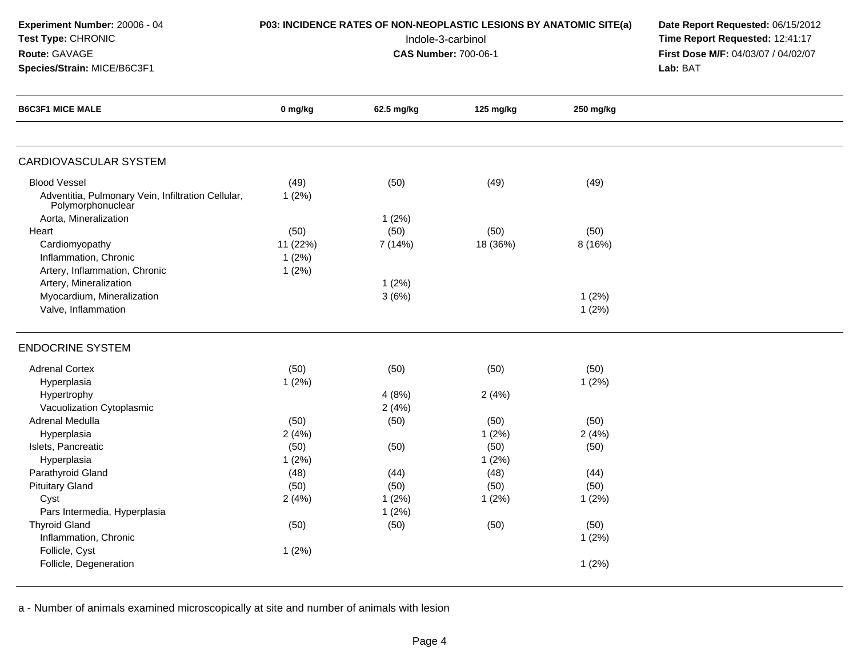| Experiment Number: 20006 - 04 |  |
|-------------------------------|--|
| <b>Test Type: CHRONIC</b>     |  |

**Species/Strain:** MICE/B6C3F1

**Route:** GAVAGE

## **P03: INCIDENCE RATES OF NON-NEOPLASTIC LESIONS BY ANATOMIC SITE(a) Date Report Requested: 06/15/2012<br>12:41:17 Time Report Requested: 12:41:17**

 Indole-3-carbinol **Time Report Requested:** 12:41:17 **First Dose M/F:** 04/03/07 / 04/02/07<br>Lab: BAT **Lab:** BAT

| <b>B6C3F1 MICE MALE</b>                                                 | 0 mg/kg  | 62.5 mg/kg | 125 mg/kg | 250 mg/kg |  |
|-------------------------------------------------------------------------|----------|------------|-----------|-----------|--|
|                                                                         |          |            |           |           |  |
| <b>CARDIOVASCULAR SYSTEM</b>                                            |          |            |           |           |  |
| <b>Blood Vessel</b>                                                     | (49)     | (50)       | (49)      | (49)      |  |
| Adventitia, Pulmonary Vein, Infiltration Cellular,<br>Polymorphonuclear | 1(2%)    |            |           |           |  |
| Aorta, Mineralization                                                   |          | 1(2%)      |           |           |  |
| Heart                                                                   | (50)     | (50)       | (50)      | (50)      |  |
| Cardiomyopathy                                                          | 11 (22%) | 7 (14%)    | 18 (36%)  | 8 (16%)   |  |
| Inflammation, Chronic                                                   | 1(2%)    |            |           |           |  |
| Artery, Inflammation, Chronic                                           | 1(2%)    |            |           |           |  |
| Artery, Mineralization                                                  |          | 1(2%)      |           |           |  |
| Myocardium, Mineralization                                              |          | 3(6%)      |           | 1(2%)     |  |
| Valve, Inflammation                                                     |          |            |           | 1(2%)     |  |
| <b>ENDOCRINE SYSTEM</b>                                                 |          |            |           |           |  |
| <b>Adrenal Cortex</b>                                                   | (50)     | (50)       | (50)      | (50)      |  |
| Hyperplasia                                                             | 1(2%)    |            |           | 1(2%)     |  |
| Hypertrophy                                                             |          | 4(8%)      | 2(4%)     |           |  |
| Vacuolization Cytoplasmic                                               |          | 2(4%)      |           |           |  |
| Adrenal Medulla                                                         | (50)     | (50)       | (50)      | (50)      |  |
| Hyperplasia                                                             | 2(4%)    |            | 1(2%)     | 2(4%)     |  |
| Islets, Pancreatic                                                      | (50)     | (50)       | (50)      | (50)      |  |
| Hyperplasia                                                             | 1(2%)    |            | 1(2%)     |           |  |
| Parathyroid Gland                                                       | (48)     | (44)       | (48)      | (44)      |  |
| <b>Pituitary Gland</b>                                                  | (50)     | (50)       | (50)      | (50)      |  |
| Cyst                                                                    | 2(4%)    | 1(2%)      | 1(2%)     | 1(2%)     |  |
| Pars Intermedia, Hyperplasia                                            |          | 1(2%)      |           |           |  |
| <b>Thyroid Gland</b>                                                    | (50)     | (50)       | (50)      | (50)      |  |
| Inflammation, Chronic                                                   |          |            |           | 1(2%)     |  |
| Follicle, Cyst                                                          | 1(2%)    |            |           |           |  |
| Follicle, Degeneration                                                  |          |            |           | 1(2%)     |  |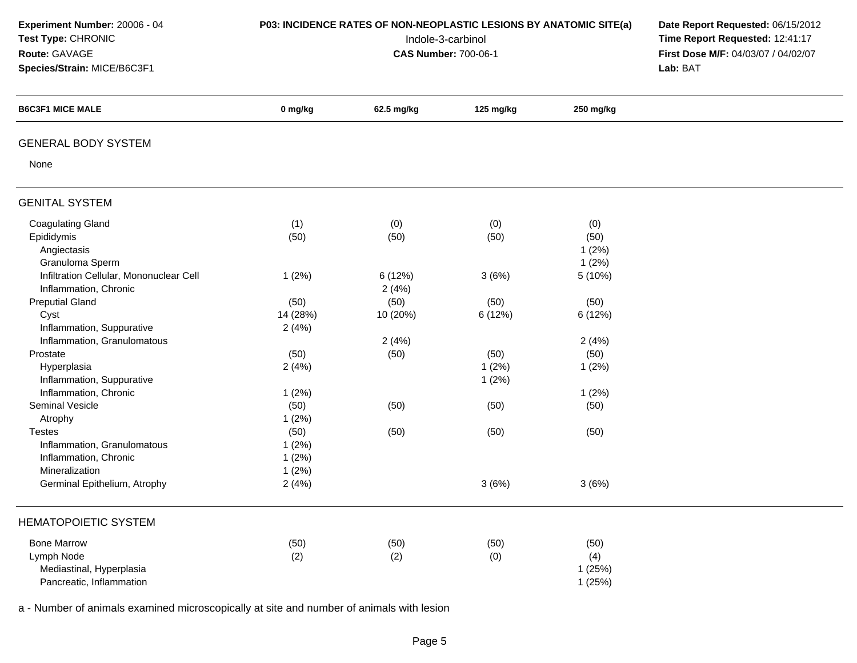| Experiment Number: 20006 - 04<br>Test Type: CHRONIC<br>Route: GAVAGE<br>Species/Strain: MICE/B6C3F1 | P03: INCIDENCE RATES OF NON-NEOPLASTIC LESIONS BY ANATOMIC SITE(a) | Date Report Requested: 06/15/2012<br>Time Report Requested: 12:41:17<br>First Dose M/F: 04/03/07 / 04/02/07<br>Lab: BAT |           |           |  |
|-----------------------------------------------------------------------------------------------------|--------------------------------------------------------------------|-------------------------------------------------------------------------------------------------------------------------|-----------|-----------|--|
| <b>B6C3F1 MICE MALE</b>                                                                             | 0 mg/kg                                                            | 62.5 mg/kg                                                                                                              | 125 mg/kg | 250 mg/kg |  |
| <b>GENERAL BODY SYSTEM</b>                                                                          |                                                                    |                                                                                                                         |           |           |  |
| None                                                                                                |                                                                    |                                                                                                                         |           |           |  |
| <b>GENITAL SYSTEM</b>                                                                               |                                                                    |                                                                                                                         |           |           |  |
| <b>Coagulating Gland</b>                                                                            | (1)                                                                | (0)                                                                                                                     | (0)       | (0)       |  |
| Epididymis                                                                                          | (50)                                                               | (50)                                                                                                                    | (50)      | (50)      |  |
| Angiectasis                                                                                         |                                                                    |                                                                                                                         |           | 1(2%)     |  |
| Granuloma Sperm                                                                                     |                                                                    |                                                                                                                         |           | 1(2%)     |  |
| Infiltration Cellular, Mononuclear Cell                                                             | 1(2%)                                                              | 6(12%)                                                                                                                  | 3(6%)     | 5 (10%)   |  |
| Inflammation, Chronic                                                                               |                                                                    | 2(4%)                                                                                                                   |           |           |  |
| <b>Preputial Gland</b>                                                                              | (50)                                                               | (50)                                                                                                                    | (50)      | (50)      |  |
| Cyst                                                                                                | 14 (28%)                                                           | 10 (20%)                                                                                                                | 6 (12%)   | 6 (12%)   |  |
| Inflammation, Suppurative                                                                           | 2(4%)                                                              |                                                                                                                         |           |           |  |
| Inflammation, Granulomatous                                                                         |                                                                    | 2(4%)                                                                                                                   |           | 2(4%)     |  |
| Prostate                                                                                            | (50)                                                               | (50)                                                                                                                    | (50)      | (50)      |  |
| Hyperplasia                                                                                         | 2(4%)                                                              |                                                                                                                         | 1(2%)     | 1(2%)     |  |
| Inflammation, Suppurative                                                                           |                                                                    |                                                                                                                         | 1(2%)     |           |  |
| Inflammation, Chronic                                                                               | 1(2%)                                                              |                                                                                                                         |           | 1(2%)     |  |
| Seminal Vesicle                                                                                     | (50)                                                               | (50)                                                                                                                    | (50)      | (50)      |  |
| Atrophy                                                                                             | 1(2%)                                                              |                                                                                                                         |           |           |  |
| <b>Testes</b>                                                                                       | (50)                                                               | (50)                                                                                                                    | (50)      | (50)      |  |
| Inflammation, Granulomatous                                                                         | 1(2%)                                                              |                                                                                                                         |           |           |  |
| Inflammation, Chronic                                                                               | 1(2%)                                                              |                                                                                                                         |           |           |  |
| Mineralization                                                                                      | 1(2%)                                                              |                                                                                                                         |           |           |  |
| Germinal Epithelium, Atrophy                                                                        | 2(4%)                                                              |                                                                                                                         | 3(6%)     | 3(6%)     |  |
| <b>HEMATOPOIETIC SYSTEM</b>                                                                         |                                                                    |                                                                                                                         |           |           |  |
| <b>Bone Marrow</b>                                                                                  | (50)                                                               | (50)                                                                                                                    | (50)      | (50)      |  |
| Lymph Node                                                                                          | (2)                                                                | (2)                                                                                                                     | (0)       | (4)       |  |
| Mediastinal, Hyperplasia                                                                            |                                                                    |                                                                                                                         |           | 1(25%)    |  |
| Pancreatic, Inflammation                                                                            |                                                                    |                                                                                                                         |           | 1(25%)    |  |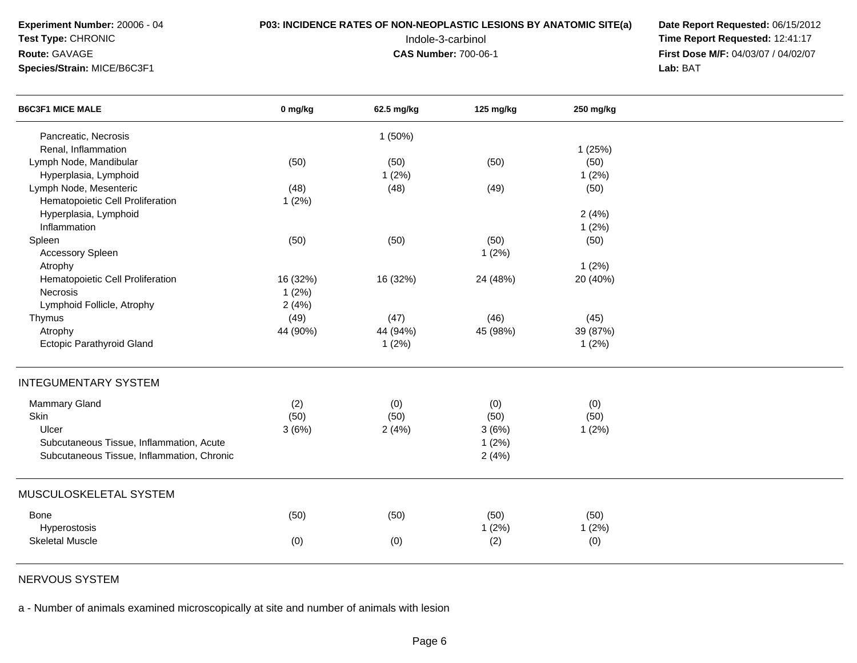**Test Type:** CHRONIC

### **Route:** GAVAGE

**Species/Strain:** MICE/B6C3F1

**P03: INCIDENCE RATES OF NON-NEOPLASTIC LESIONS BY ANATOMIC SITE(a) Date Report Requested: 06/15/2012<br>12:41:17 Time Report Requested: 12:41:17**  Indole-3-carbinol **Time Report Requested:** 12:41:17 **First Dose M/F:** 04/03/07 / 04/02/07<br>Lab: BAT **Lab:** BAT

| <b>B6C3F1 MICE MALE</b>                    | 0 mg/kg  | 62.5 mg/kg | 125 mg/kg | 250 mg/kg |  |
|--------------------------------------------|----------|------------|-----------|-----------|--|
| Pancreatic, Necrosis                       |          | 1(50%)     |           |           |  |
| Renal, Inflammation                        |          |            |           | 1(25%)    |  |
| Lymph Node, Mandibular                     | (50)     | (50)       | (50)      | (50)      |  |
| Hyperplasia, Lymphoid                      |          | 1(2%)      |           | 1(2%)     |  |
| Lymph Node, Mesenteric                     | (48)     | (48)       | (49)      | (50)      |  |
| Hematopoietic Cell Proliferation           | 1(2%)    |            |           |           |  |
| Hyperplasia, Lymphoid                      |          |            |           | 2(4%)     |  |
| Inflammation                               |          |            |           | 1(2%)     |  |
| Spleen                                     | (50)     | (50)       | (50)      | (50)      |  |
| <b>Accessory Spleen</b>                    |          |            | 1(2%)     |           |  |
| Atrophy                                    |          |            |           | 1(2%)     |  |
| Hematopoietic Cell Proliferation           | 16 (32%) | 16 (32%)   | 24 (48%)  | 20 (40%)  |  |
| Necrosis                                   | 1(2%)    |            |           |           |  |
| Lymphoid Follicle, Atrophy                 | 2(4%)    |            |           |           |  |
| Thymus                                     | (49)     | (47)       | (46)      | (45)      |  |
| Atrophy                                    | 44 (90%) | 44 (94%)   | 45 (98%)  | 39 (87%)  |  |
| <b>Ectopic Parathyroid Gland</b>           |          | 1(2%)      |           | 1(2%)     |  |
| <b>INTEGUMENTARY SYSTEM</b>                |          |            |           |           |  |
| Mammary Gland                              | (2)      | (0)        | (0)       | (0)       |  |
| Skin                                       | (50)     | (50)       | (50)      | (50)      |  |
| Ulcer                                      | 3(6%)    | 2(4%)      | 3(6%)     | 1(2%)     |  |
| Subcutaneous Tissue, Inflammation, Acute   |          |            | 1(2%)     |           |  |
| Subcutaneous Tissue, Inflammation, Chronic |          |            | 2(4%)     |           |  |
| MUSCULOSKELETAL SYSTEM                     |          |            |           |           |  |
|                                            |          |            |           |           |  |
| Bone                                       | (50)     | (50)       | (50)      | (50)      |  |
| Hyperostosis                               |          |            | 1(2%)     | 1(2%)     |  |
| <b>Skeletal Muscle</b>                     | (0)      | (0)        | (2)       | (0)       |  |

NERVOUS SYSTEM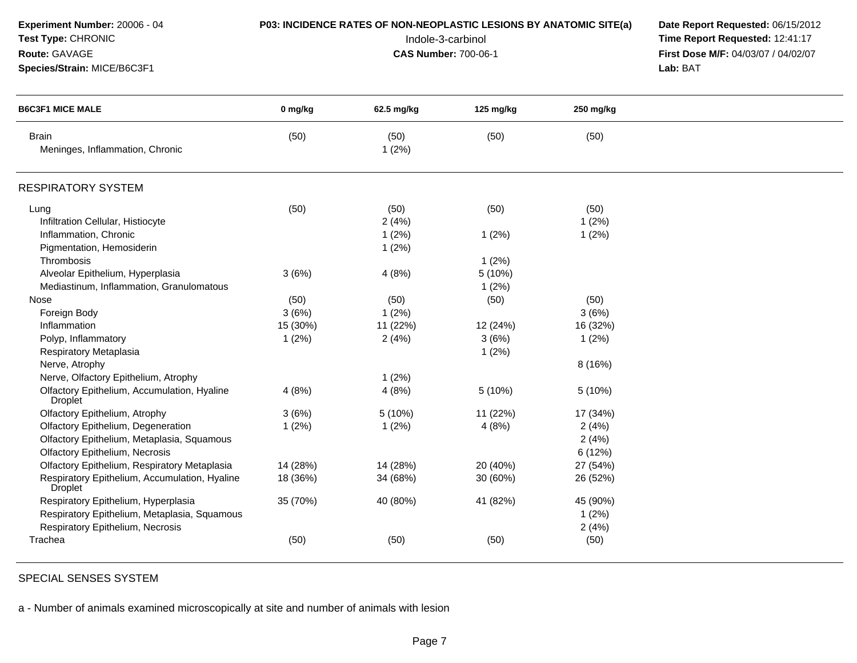| Experiment Number: 20006 - 04<br>Test Type: CHRONIC<br>Route: GAVAGE<br>Species/Strain: MICE/B6C3F1 |          | P03: INCIDENCE RATES OF NON-NEOPLASTIC LESIONS BY ANATOMIC SITE(a)<br>Indole-3-carbinol<br><b>CAS Number: 700-06-1</b> | Date Report Requested: 06/15/2012<br>Time Report Requested: 12:41:17<br>First Dose M/F: 04/03/07 / 04/02/07<br>Lab: BAT |           |  |
|-----------------------------------------------------------------------------------------------------|----------|------------------------------------------------------------------------------------------------------------------------|-------------------------------------------------------------------------------------------------------------------------|-----------|--|
| <b>B6C3F1 MICE MALE</b>                                                                             | 0 mg/kg  | 62.5 mg/kg                                                                                                             | 125 mg/kg                                                                                                               | 250 mg/kg |  |
| <b>Brain</b><br>Meninges, Inflammation, Chronic                                                     | (50)     | (50)<br>1(2%)                                                                                                          | (50)                                                                                                                    | (50)      |  |
| <b>RESPIRATORY SYSTEM</b>                                                                           |          |                                                                                                                        |                                                                                                                         |           |  |
| Lung                                                                                                | (50)     | (50)                                                                                                                   | (50)                                                                                                                    | (50)      |  |
| Infiltration Cellular, Histiocyte                                                                   |          | 2(4%)                                                                                                                  |                                                                                                                         | 1(2%)     |  |
| Inflammation, Chronic                                                                               |          | 1(2%)                                                                                                                  | 1(2%)                                                                                                                   | 1(2%)     |  |
| Pigmentation, Hemosiderin                                                                           |          | 1(2%)                                                                                                                  |                                                                                                                         |           |  |
| Thrombosis                                                                                          |          |                                                                                                                        | 1(2%)                                                                                                                   |           |  |
| Alveolar Epithelium, Hyperplasia                                                                    | 3(6%)    | 4(8%)                                                                                                                  | 5 (10%)                                                                                                                 |           |  |
| Mediastinum, Inflammation, Granulomatous                                                            |          |                                                                                                                        | 1(2%)                                                                                                                   |           |  |
| Nose                                                                                                | (50)     | (50)                                                                                                                   | (50)                                                                                                                    | (50)      |  |
| Foreign Body                                                                                        | 3(6%)    | 1(2%)                                                                                                                  |                                                                                                                         | 3(6%)     |  |
| Inflammation                                                                                        | 15 (30%) | 11 (22%)                                                                                                               | 12 (24%)                                                                                                                | 16 (32%)  |  |
| Polyp, Inflammatory                                                                                 | 1(2%)    | 2(4%)                                                                                                                  | 3(6%)                                                                                                                   | 1(2%)     |  |
| Respiratory Metaplasia                                                                              |          |                                                                                                                        | 1(2%)                                                                                                                   |           |  |
| Nerve, Atrophy                                                                                      |          |                                                                                                                        |                                                                                                                         | 8 (16%)   |  |
| Nerve, Olfactory Epithelium, Atrophy                                                                |          | 1(2%)                                                                                                                  |                                                                                                                         |           |  |
| Olfactory Epithelium, Accumulation, Hyaline<br><b>Droplet</b>                                       | 4(8%)    | 4(8%)                                                                                                                  | 5 (10%)                                                                                                                 | 5 (10%)   |  |
| Olfactory Epithelium, Atrophy                                                                       | 3(6%)    | 5 (10%)                                                                                                                | 11 (22%)                                                                                                                | 17 (34%)  |  |
| Olfactory Epithelium, Degeneration                                                                  | 1(2%)    | 1(2%)                                                                                                                  | 4(8%)                                                                                                                   | 2(4%)     |  |
| Olfactory Epithelium, Metaplasia, Squamous                                                          |          |                                                                                                                        |                                                                                                                         | 2(4%)     |  |
| <b>Olfactory Epithelium, Necrosis</b>                                                               |          |                                                                                                                        |                                                                                                                         | 6 (12%)   |  |
| Olfactory Epithelium, Respiratory Metaplasia                                                        | 14 (28%) | 14 (28%)                                                                                                               | 20 (40%)                                                                                                                | 27 (54%)  |  |
| Respiratory Epithelium, Accumulation, Hyaline<br><b>Droplet</b>                                     | 18 (36%) | 34 (68%)                                                                                                               | 30 (60%)                                                                                                                | 26 (52%)  |  |
| Respiratory Epithelium, Hyperplasia                                                                 | 35 (70%) | 40 (80%)                                                                                                               | 41 (82%)                                                                                                                | 45 (90%)  |  |
| Respiratory Epithelium, Metaplasia, Squamous                                                        |          |                                                                                                                        |                                                                                                                         | 1(2%)     |  |
| Respiratory Epithelium, Necrosis                                                                    |          |                                                                                                                        |                                                                                                                         | 2(4%)     |  |
| Trachea                                                                                             | (50)     | (50)                                                                                                                   | (50)                                                                                                                    | (50)      |  |

SPECIAL SENSES SYSTEM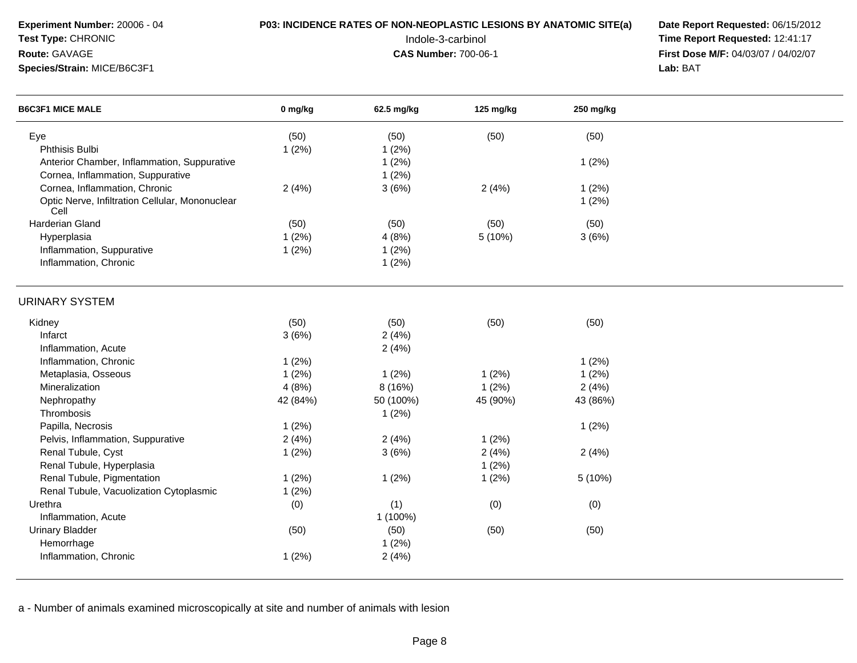**Experiment Number:** 20006 - 04**Test Type:** CHRONIC

**Species/Strain:** MICE/B6C3F1

**Route:** GAVAGE

## **P03: INCIDENCE RATES OF NON-NEOPLASTIC LESIONS BY ANATOMIC SITE(a) Date Report Requested: 06/15/2012<br>12:41:17 Time Report Requested: 12:41:17**

 Indole-3-carbinol **Time Report Requested:** 12:41:17 **First Dose M/F:** 04/03/07 / 04/02/07<br>Lab: BAT **Lab:** BAT

| 0 mg/kg | 62.5 mg/kg                                                                                                       | 125 mg/kg                                                                                                                                        | 250 mg/kg                                                                                       |                                                                                        |  |
|---------|------------------------------------------------------------------------------------------------------------------|--------------------------------------------------------------------------------------------------------------------------------------------------|-------------------------------------------------------------------------------------------------|----------------------------------------------------------------------------------------|--|
| (50)    | (50)                                                                                                             | (50)                                                                                                                                             | (50)                                                                                            |                                                                                        |  |
| 1(2%)   | 1(2%)                                                                                                            |                                                                                                                                                  |                                                                                                 |                                                                                        |  |
|         | 1(2%)                                                                                                            |                                                                                                                                                  | 1(2%)                                                                                           |                                                                                        |  |
|         | 1(2%)                                                                                                            |                                                                                                                                                  |                                                                                                 |                                                                                        |  |
| 2(4%)   | 3(6%)                                                                                                            | 2(4%)                                                                                                                                            | 1(2%)                                                                                           |                                                                                        |  |
|         |                                                                                                                  |                                                                                                                                                  | 1(2%)                                                                                           |                                                                                        |  |
|         |                                                                                                                  |                                                                                                                                                  |                                                                                                 |                                                                                        |  |
| 1(2%)   | 4(8%)                                                                                                            |                                                                                                                                                  | 3(6%)                                                                                           |                                                                                        |  |
|         |                                                                                                                  |                                                                                                                                                  |                                                                                                 |                                                                                        |  |
|         | 1(2%)                                                                                                            |                                                                                                                                                  |                                                                                                 |                                                                                        |  |
|         |                                                                                                                  |                                                                                                                                                  |                                                                                                 |                                                                                        |  |
| (50)    |                                                                                                                  |                                                                                                                                                  |                                                                                                 |                                                                                        |  |
|         |                                                                                                                  |                                                                                                                                                  |                                                                                                 |                                                                                        |  |
|         |                                                                                                                  |                                                                                                                                                  |                                                                                                 |                                                                                        |  |
| 1(2%)   |                                                                                                                  |                                                                                                                                                  | 1(2%)                                                                                           |                                                                                        |  |
|         |                                                                                                                  | 1(2%)                                                                                                                                            |                                                                                                 |                                                                                        |  |
|         |                                                                                                                  |                                                                                                                                                  |                                                                                                 |                                                                                        |  |
|         |                                                                                                                  |                                                                                                                                                  |                                                                                                 |                                                                                        |  |
|         |                                                                                                                  |                                                                                                                                                  |                                                                                                 |                                                                                        |  |
|         |                                                                                                                  |                                                                                                                                                  |                                                                                                 |                                                                                        |  |
|         |                                                                                                                  |                                                                                                                                                  |                                                                                                 |                                                                                        |  |
|         |                                                                                                                  |                                                                                                                                                  |                                                                                                 |                                                                                        |  |
|         |                                                                                                                  |                                                                                                                                                  |                                                                                                 |                                                                                        |  |
|         |                                                                                                                  |                                                                                                                                                  |                                                                                                 |                                                                                        |  |
|         |                                                                                                                  |                                                                                                                                                  |                                                                                                 |                                                                                        |  |
|         |                                                                                                                  |                                                                                                                                                  |                                                                                                 |                                                                                        |  |
|         |                                                                                                                  |                                                                                                                                                  |                                                                                                 |                                                                                        |  |
|         |                                                                                                                  |                                                                                                                                                  |                                                                                                 |                                                                                        |  |
|         |                                                                                                                  |                                                                                                                                                  |                                                                                                 |                                                                                        |  |
| 1(2%)   | 2(4%)                                                                                                            |                                                                                                                                                  |                                                                                                 |                                                                                        |  |
|         | (50)<br>1(2%)<br>3(6%)<br>1(2%)<br>4(8%)<br>42 (84%)<br>1(2%)<br>2(4%)<br>1(2%)<br>1(2%)<br>1(2%)<br>(0)<br>(50) | (50)<br>1(2%)<br>(50)<br>2(4%)<br>2(4%)<br>1(2%)<br>8 (16%)<br>50 (100%)<br>1(2%)<br>2(4%)<br>3(6%)<br>1(2%)<br>(1)<br>1 (100%)<br>(50)<br>1(2%) | (50)<br>5 (10%)<br>(50)<br>1(2%)<br>45 (90%)<br>1(2%)<br>2(4%)<br>1(2%)<br>1(2%)<br>(0)<br>(50) | (50)<br>(50)<br>1(2%)<br>2(4%)<br>43 (86%)<br>1(2%)<br>2(4%)<br>5 (10%)<br>(0)<br>(50) |  |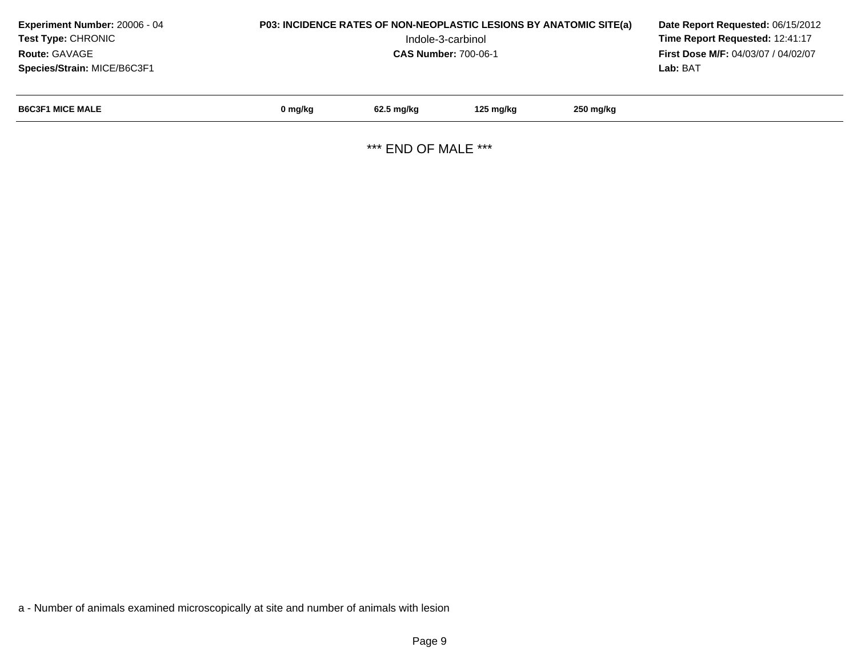| Experiment Number: 20006 - 04<br><b>Test Type: CHRONIC</b><br><b>Route: GAVAGE</b><br>Species/Strain: MICE/B6C3F1 | <b>P03: INCIDENCE RATES OF NON-NEOPLASTIC LESIONS BY ANATOMIC SITE(a)</b> | Date Report Requested: 06/15/2012<br>Time Report Requested: 12:41:17<br>First Dose M/F: 04/03/07 / 04/02/07<br>Lab: BAT |           |           |  |
|-------------------------------------------------------------------------------------------------------------------|---------------------------------------------------------------------------|-------------------------------------------------------------------------------------------------------------------------|-----------|-----------|--|
| <b>B6C3F1 MICE MALE</b>                                                                                           | 0 mg/kg                                                                   | 62.5 mg/kg                                                                                                              | 125 mg/kg | 250 mg/kg |  |

\*\*\* END OF MALE \*\*\*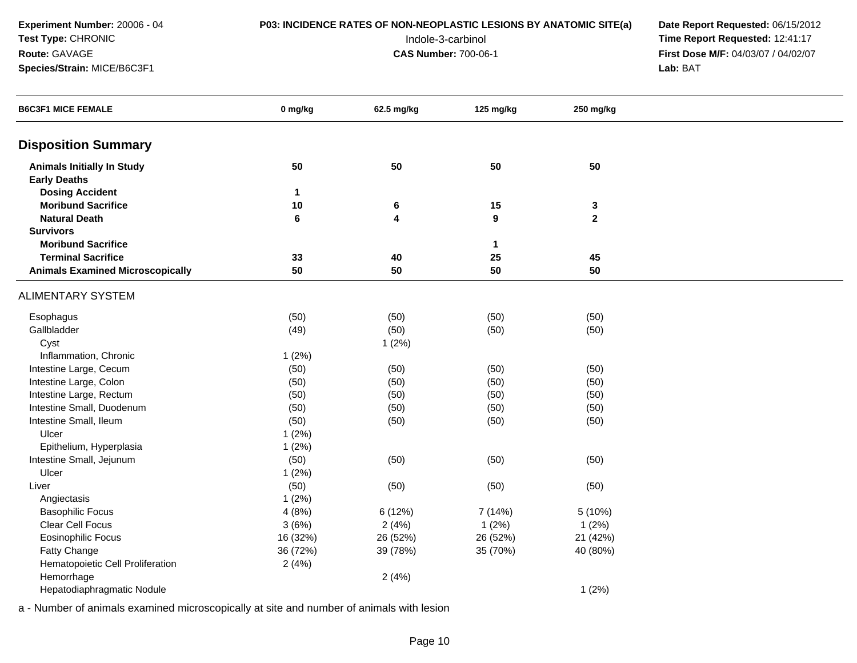**Experiment Number:** 20006 - 04**Test Type:** CHRONIC**Route:** GAVAGE

**Species/Strain:** MICE/B6C3F1

## **P03: INCIDENCE RATES OF NON-NEOPLASTIC LESIONS BY ANATOMIC SITE(a) Date Report Requested: 06/15/2012<br>12:41:17 Time Report Requested: 12:41:17**

 Indole-3-carbinol **Time Report Requested:** 12:41:17 **First Dose M/F:** 04/03/07 / 04/02/07<br>Lab: BAT **Lab:** BAT

| <b>B6C3F1 MICE FEMALE</b>               | 0 mg/kg      | 62.5 mg/kg | 125 mg/kg        | 250 mg/kg      |  |
|-----------------------------------------|--------------|------------|------------------|----------------|--|
| <b>Disposition Summary</b>              |              |            |                  |                |  |
| <b>Animals Initially In Study</b>       | 50           | 50         | 50               | 50             |  |
| <b>Early Deaths</b>                     |              |            |                  |                |  |
| <b>Dosing Accident</b>                  | $\mathbf{1}$ |            |                  |                |  |
| <b>Moribund Sacrifice</b>               | 10           | $\bf 6$    | 15               | $\mathbf 3$    |  |
| <b>Natural Death</b>                    | $\bf 6$      | 4          | $\boldsymbol{9}$ | $\overline{2}$ |  |
| <b>Survivors</b>                        |              |            |                  |                |  |
| <b>Moribund Sacrifice</b>               |              |            | $\mathbf{1}$     |                |  |
| <b>Terminal Sacrifice</b>               | 33           | 40         | 25               | 45             |  |
| <b>Animals Examined Microscopically</b> | 50           | 50         | 50               | 50             |  |
| <b>ALIMENTARY SYSTEM</b>                |              |            |                  |                |  |
| Esophagus                               | (50)         | (50)       | (50)             | (50)           |  |
| Gallbladder                             | (49)         | (50)       | (50)             | (50)           |  |
| Cyst                                    |              | 1(2%)      |                  |                |  |
| Inflammation, Chronic                   | 1(2%)        |            |                  |                |  |
| Intestine Large, Cecum                  | (50)         | (50)       | (50)             | (50)           |  |
| Intestine Large, Colon                  | (50)         | (50)       | (50)             | (50)           |  |
| Intestine Large, Rectum                 | (50)         | (50)       | (50)             | (50)           |  |
| Intestine Small, Duodenum               | (50)         | (50)       | (50)             | (50)           |  |
| Intestine Small, Ileum                  | (50)         | (50)       | (50)             | (50)           |  |
| Ulcer                                   | 1(2%)        |            |                  |                |  |
| Epithelium, Hyperplasia                 | 1(2%)        |            |                  |                |  |
| Intestine Small, Jejunum                | (50)         | (50)       | (50)             | (50)           |  |
| Ulcer                                   | 1(2%)        |            |                  |                |  |
| Liver                                   | (50)         | (50)       | (50)             | (50)           |  |
| Angiectasis                             | 1(2%)        |            |                  |                |  |
| <b>Basophilic Focus</b>                 | 4(8%)        | 6 (12%)    | 7 (14%)          | 5(10%)         |  |
| Clear Cell Focus                        | 3(6%)        | 2(4%)      | 1(2%)            | 1(2%)          |  |
| <b>Eosinophilic Focus</b>               | 16 (32%)     | 26 (52%)   | 26 (52%)         | 21 (42%)       |  |
| Fatty Change                            | 36 (72%)     | 39 (78%)   | 35 (70%)         | 40 (80%)       |  |
| Hematopoietic Cell Proliferation        | 2(4%)        |            |                  |                |  |
| Hemorrhage                              |              | 2(4%)      |                  |                |  |
| Hepatodiaphragmatic Nodule              |              |            |                  | 1(2%)          |  |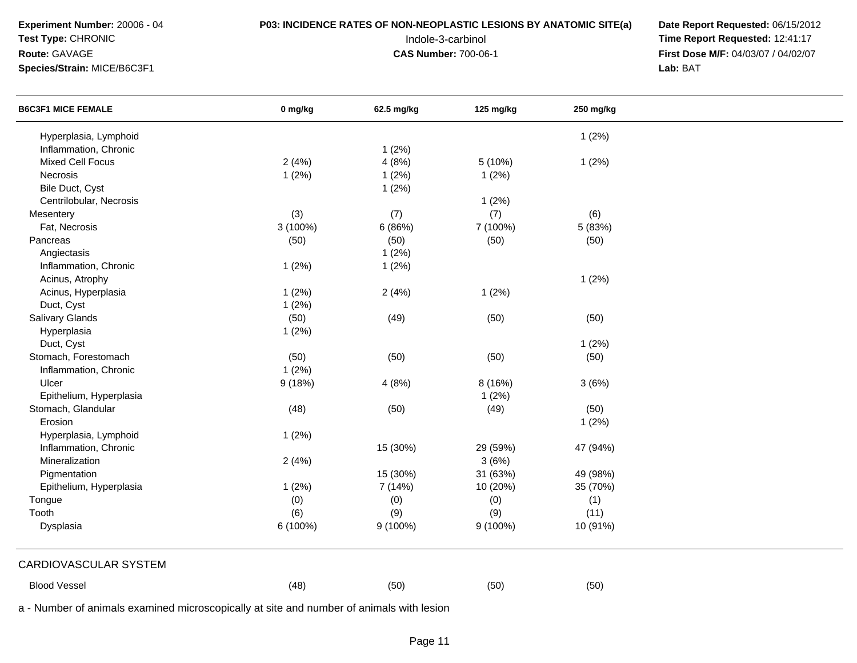### **Test Type:** CHRONIC

### **Route:** GAVAGE

**Species/Strain:** MICE/B6C3F1

## **P03: INCIDENCE RATES OF NON-NEOPLASTIC LESIONS BY ANATOMIC SITE(a) Date Report Requested: 06/15/2012<br>12:41:17 Time Report Requested: 12:41:17**

 Indole-3-carbinol **Time Report Requested:** 12:41:17 **First Dose M/F:** 04/03/07 / 04/02/07<br>Lab: BAT **Lab:** BAT

| <b>B6C3F1 MICE FEMALE</b>                                                                | 0 mg/kg    | 62.5 mg/kg | 125 mg/kg | 250 mg/kg |  |
|------------------------------------------------------------------------------------------|------------|------------|-----------|-----------|--|
| Hyperplasia, Lymphoid                                                                    |            |            |           | 1(2%)     |  |
| Inflammation, Chronic                                                                    |            | 1(2%)      |           |           |  |
| <b>Mixed Cell Focus</b>                                                                  | 2(4%)      | 4(8%)      | 5(10%)    | 1(2%)     |  |
| Necrosis                                                                                 | 1(2%)      | 1(2%)      | 1(2%)     |           |  |
| Bile Duct, Cyst                                                                          |            | 1(2%)      |           |           |  |
| Centrilobular, Necrosis                                                                  |            |            | 1(2%)     |           |  |
| Mesentery                                                                                | (3)        | (7)        | (7)       | (6)       |  |
| Fat, Necrosis                                                                            | $3(100\%)$ | 6(86%)     | 7 (100%)  | 5 (83%)   |  |
| Pancreas                                                                                 | (50)       | (50)       | (50)      | (50)      |  |
| Angiectasis                                                                              |            | 1(2%)      |           |           |  |
| Inflammation, Chronic                                                                    | 1(2%)      | 1(2%)      |           |           |  |
| Acinus, Atrophy                                                                          |            |            |           | 1(2%)     |  |
| Acinus, Hyperplasia                                                                      | 1(2%)      | 2(4%)      | 1(2%)     |           |  |
| Duct, Cyst                                                                               | 1(2%)      |            |           |           |  |
| Salivary Glands                                                                          | (50)       | (49)       | (50)      | (50)      |  |
| Hyperplasia                                                                              | 1(2%)      |            |           |           |  |
| Duct, Cyst                                                                               |            |            |           | 1(2%)     |  |
| Stomach, Forestomach                                                                     | (50)       | (50)       | (50)      | (50)      |  |
| Inflammation, Chronic                                                                    | 1(2%)      |            |           |           |  |
| Ulcer                                                                                    | 9(18%)     | 4(8%)      | 8 (16%)   | 3(6%)     |  |
| Epithelium, Hyperplasia                                                                  |            |            | 1(2%)     |           |  |
| Stomach, Glandular                                                                       | (48)       | (50)       | (49)      | (50)      |  |
| Erosion                                                                                  |            |            |           | 1(2%)     |  |
| Hyperplasia, Lymphoid                                                                    | 1(2%)      |            |           |           |  |
| Inflammation, Chronic                                                                    |            | 15 (30%)   | 29 (59%)  | 47 (94%)  |  |
| Mineralization                                                                           | 2(4%)      |            | 3(6%)     |           |  |
| Pigmentation                                                                             |            | 15 (30%)   | 31 (63%)  | 49 (98%)  |  |
| Epithelium, Hyperplasia                                                                  | 1(2%)      | 7 (14%)    | 10 (20%)  | 35 (70%)  |  |
| Tongue                                                                                   | (0)        | (0)        | (0)       | (1)       |  |
| Tooth                                                                                    | (6)        | (9)        | (9)       | (11)      |  |
| Dysplasia                                                                                | 6 (100%)   | $9(100\%)$ | 9 (100%)  | 10 (91%)  |  |
| CARDIOVASCULAR SYSTEM                                                                    |            |            |           |           |  |
| <b>Blood Vessel</b>                                                                      | (48)       | (50)       | (50)      | (50)      |  |
| a - Number of animals examined microscopically at site and number of animals with lesion |            |            |           |           |  |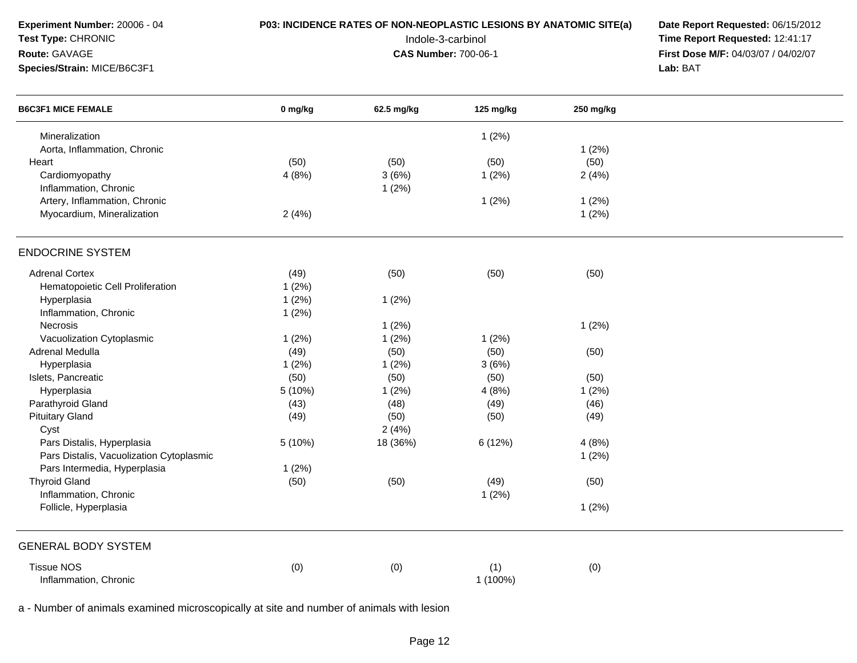| <b>B6C3F1 MICE FEMALE</b><br>0 mg/kg<br>62.5 mg/kg<br>125 mg/kg<br>250 mg/kg<br>Mineralization<br>1(2%)<br>Aorta, Inflammation, Chronic<br>1(2%)<br>(50)<br>(50)<br>(50)<br>(50)<br>Heart<br>Cardiomyopathy<br>4(8%)<br>3(6%)<br>1(2%)<br>2(4%)<br>Inflammation, Chronic<br>1(2%)<br>Artery, Inflammation, Chronic<br>1(2%)<br>1(2%)<br>Myocardium, Mineralization<br>2(4%)<br>1(2%)<br><b>ENDOCRINE SYSTEM</b><br><b>Adrenal Cortex</b><br>(49)<br>(50)<br>(50)<br>(50)<br>Hematopoietic Cell Proliferation<br>1(2%)<br>Hyperplasia<br>1(2%)<br>1(2%)<br>Inflammation, Chronic<br>1(2%)<br>Necrosis<br>1(2%)<br>1(2%)<br>Vacuolization Cytoplasmic<br>1(2%)<br>1(2%)<br>1(2%)<br>Adrenal Medulla<br>(49)<br>(50)<br>(50)<br>(50)<br>Hyperplasia<br>1(2%)<br>1(2%)<br>3(6%)<br>Islets, Pancreatic<br>(50)<br>(50)<br>(50)<br>(50)<br>Hyperplasia<br>5 (10%)<br>1(2%)<br>4(8%)<br>1(2%)<br>Parathyroid Gland<br>(43)<br>(48)<br>(49)<br>(46)<br><b>Pituitary Gland</b><br>(49)<br>(50)<br>(49)<br>(50)<br>2(4%)<br>Cyst<br>Pars Distalis, Hyperplasia<br>5 (10%)<br>18 (36%)<br>6 (12%)<br>4(8%)<br>Pars Distalis, Vacuolization Cytoplasmic<br>1(2%)<br>Pars Intermedia, Hyperplasia<br>1(2%)<br><b>Thyroid Gland</b><br>(50)<br>(50)<br>(49)<br>(50)<br>Inflammation, Chronic<br>1(2%)<br>Follicle, Hyperplasia<br>1(2%)<br><b>GENERAL BODY SYSTEM</b><br><b>Tissue NOS</b><br>(0)<br>(0)<br>(1)<br>(0)<br>Inflammation, Chronic<br>1 (100%) | Experiment Number: 20006 - 04<br>Test Type: CHRONIC<br>Route: GAVAGE<br>Species/Strain: MICE/B6C3F1 | P03: INCIDENCE RATES OF NON-NEOPLASTIC LESIONS BY ANATOMIC SITE(a)<br>Indole-3-carbinol<br><b>CAS Number: 700-06-1</b> | Date Report Requested: 06/15/2012<br>Time Report Requested: 12:41:17<br>First Dose M/F: 04/03/07 / 04/02/07<br>Lab: BAT |  |
|-----------------------------------------------------------------------------------------------------------------------------------------------------------------------------------------------------------------------------------------------------------------------------------------------------------------------------------------------------------------------------------------------------------------------------------------------------------------------------------------------------------------------------------------------------------------------------------------------------------------------------------------------------------------------------------------------------------------------------------------------------------------------------------------------------------------------------------------------------------------------------------------------------------------------------------------------------------------------------------------------------------------------------------------------------------------------------------------------------------------------------------------------------------------------------------------------------------------------------------------------------------------------------------------------------------------------------------------------------------------------------------------------------------------------------------------------|-----------------------------------------------------------------------------------------------------|------------------------------------------------------------------------------------------------------------------------|-------------------------------------------------------------------------------------------------------------------------|--|
|                                                                                                                                                                                                                                                                                                                                                                                                                                                                                                                                                                                                                                                                                                                                                                                                                                                                                                                                                                                                                                                                                                                                                                                                                                                                                                                                                                                                                                               |                                                                                                     |                                                                                                                        |                                                                                                                         |  |
|                                                                                                                                                                                                                                                                                                                                                                                                                                                                                                                                                                                                                                                                                                                                                                                                                                                                                                                                                                                                                                                                                                                                                                                                                                                                                                                                                                                                                                               |                                                                                                     |                                                                                                                        |                                                                                                                         |  |
|                                                                                                                                                                                                                                                                                                                                                                                                                                                                                                                                                                                                                                                                                                                                                                                                                                                                                                                                                                                                                                                                                                                                                                                                                                                                                                                                                                                                                                               |                                                                                                     |                                                                                                                        |                                                                                                                         |  |
|                                                                                                                                                                                                                                                                                                                                                                                                                                                                                                                                                                                                                                                                                                                                                                                                                                                                                                                                                                                                                                                                                                                                                                                                                                                                                                                                                                                                                                               |                                                                                                     |                                                                                                                        |                                                                                                                         |  |
|                                                                                                                                                                                                                                                                                                                                                                                                                                                                                                                                                                                                                                                                                                                                                                                                                                                                                                                                                                                                                                                                                                                                                                                                                                                                                                                                                                                                                                               |                                                                                                     |                                                                                                                        |                                                                                                                         |  |
|                                                                                                                                                                                                                                                                                                                                                                                                                                                                                                                                                                                                                                                                                                                                                                                                                                                                                                                                                                                                                                                                                                                                                                                                                                                                                                                                                                                                                                               |                                                                                                     |                                                                                                                        |                                                                                                                         |  |
|                                                                                                                                                                                                                                                                                                                                                                                                                                                                                                                                                                                                                                                                                                                                                                                                                                                                                                                                                                                                                                                                                                                                                                                                                                                                                                                                                                                                                                               |                                                                                                     |                                                                                                                        |                                                                                                                         |  |
|                                                                                                                                                                                                                                                                                                                                                                                                                                                                                                                                                                                                                                                                                                                                                                                                                                                                                                                                                                                                                                                                                                                                                                                                                                                                                                                                                                                                                                               |                                                                                                     |                                                                                                                        |                                                                                                                         |  |
|                                                                                                                                                                                                                                                                                                                                                                                                                                                                                                                                                                                                                                                                                                                                                                                                                                                                                                                                                                                                                                                                                                                                                                                                                                                                                                                                                                                                                                               |                                                                                                     |                                                                                                                        |                                                                                                                         |  |
|                                                                                                                                                                                                                                                                                                                                                                                                                                                                                                                                                                                                                                                                                                                                                                                                                                                                                                                                                                                                                                                                                                                                                                                                                                                                                                                                                                                                                                               |                                                                                                     |                                                                                                                        |                                                                                                                         |  |
|                                                                                                                                                                                                                                                                                                                                                                                                                                                                                                                                                                                                                                                                                                                                                                                                                                                                                                                                                                                                                                                                                                                                                                                                                                                                                                                                                                                                                                               |                                                                                                     |                                                                                                                        |                                                                                                                         |  |
|                                                                                                                                                                                                                                                                                                                                                                                                                                                                                                                                                                                                                                                                                                                                                                                                                                                                                                                                                                                                                                                                                                                                                                                                                                                                                                                                                                                                                                               |                                                                                                     |                                                                                                                        |                                                                                                                         |  |
|                                                                                                                                                                                                                                                                                                                                                                                                                                                                                                                                                                                                                                                                                                                                                                                                                                                                                                                                                                                                                                                                                                                                                                                                                                                                                                                                                                                                                                               |                                                                                                     |                                                                                                                        |                                                                                                                         |  |
|                                                                                                                                                                                                                                                                                                                                                                                                                                                                                                                                                                                                                                                                                                                                                                                                                                                                                                                                                                                                                                                                                                                                                                                                                                                                                                                                                                                                                                               |                                                                                                     |                                                                                                                        |                                                                                                                         |  |
|                                                                                                                                                                                                                                                                                                                                                                                                                                                                                                                                                                                                                                                                                                                                                                                                                                                                                                                                                                                                                                                                                                                                                                                                                                                                                                                                                                                                                                               |                                                                                                     |                                                                                                                        |                                                                                                                         |  |
|                                                                                                                                                                                                                                                                                                                                                                                                                                                                                                                                                                                                                                                                                                                                                                                                                                                                                                                                                                                                                                                                                                                                                                                                                                                                                                                                                                                                                                               |                                                                                                     |                                                                                                                        |                                                                                                                         |  |
|                                                                                                                                                                                                                                                                                                                                                                                                                                                                                                                                                                                                                                                                                                                                                                                                                                                                                                                                                                                                                                                                                                                                                                                                                                                                                                                                                                                                                                               |                                                                                                     |                                                                                                                        |                                                                                                                         |  |
|                                                                                                                                                                                                                                                                                                                                                                                                                                                                                                                                                                                                                                                                                                                                                                                                                                                                                                                                                                                                                                                                                                                                                                                                                                                                                                                                                                                                                                               |                                                                                                     |                                                                                                                        |                                                                                                                         |  |
|                                                                                                                                                                                                                                                                                                                                                                                                                                                                                                                                                                                                                                                                                                                                                                                                                                                                                                                                                                                                                                                                                                                                                                                                                                                                                                                                                                                                                                               |                                                                                                     |                                                                                                                        |                                                                                                                         |  |
|                                                                                                                                                                                                                                                                                                                                                                                                                                                                                                                                                                                                                                                                                                                                                                                                                                                                                                                                                                                                                                                                                                                                                                                                                                                                                                                                                                                                                                               |                                                                                                     |                                                                                                                        |                                                                                                                         |  |
|                                                                                                                                                                                                                                                                                                                                                                                                                                                                                                                                                                                                                                                                                                                                                                                                                                                                                                                                                                                                                                                                                                                                                                                                                                                                                                                                                                                                                                               |                                                                                                     |                                                                                                                        |                                                                                                                         |  |
|                                                                                                                                                                                                                                                                                                                                                                                                                                                                                                                                                                                                                                                                                                                                                                                                                                                                                                                                                                                                                                                                                                                                                                                                                                                                                                                                                                                                                                               |                                                                                                     |                                                                                                                        |                                                                                                                         |  |
|                                                                                                                                                                                                                                                                                                                                                                                                                                                                                                                                                                                                                                                                                                                                                                                                                                                                                                                                                                                                                                                                                                                                                                                                                                                                                                                                                                                                                                               |                                                                                                     |                                                                                                                        |                                                                                                                         |  |
|                                                                                                                                                                                                                                                                                                                                                                                                                                                                                                                                                                                                                                                                                                                                                                                                                                                                                                                                                                                                                                                                                                                                                                                                                                                                                                                                                                                                                                               |                                                                                                     |                                                                                                                        |                                                                                                                         |  |
|                                                                                                                                                                                                                                                                                                                                                                                                                                                                                                                                                                                                                                                                                                                                                                                                                                                                                                                                                                                                                                                                                                                                                                                                                                                                                                                                                                                                                                               |                                                                                                     |                                                                                                                        |                                                                                                                         |  |
|                                                                                                                                                                                                                                                                                                                                                                                                                                                                                                                                                                                                                                                                                                                                                                                                                                                                                                                                                                                                                                                                                                                                                                                                                                                                                                                                                                                                                                               |                                                                                                     |                                                                                                                        |                                                                                                                         |  |
|                                                                                                                                                                                                                                                                                                                                                                                                                                                                                                                                                                                                                                                                                                                                                                                                                                                                                                                                                                                                                                                                                                                                                                                                                                                                                                                                                                                                                                               |                                                                                                     |                                                                                                                        |                                                                                                                         |  |
|                                                                                                                                                                                                                                                                                                                                                                                                                                                                                                                                                                                                                                                                                                                                                                                                                                                                                                                                                                                                                                                                                                                                                                                                                                                                                                                                                                                                                                               |                                                                                                     |                                                                                                                        |                                                                                                                         |  |
|                                                                                                                                                                                                                                                                                                                                                                                                                                                                                                                                                                                                                                                                                                                                                                                                                                                                                                                                                                                                                                                                                                                                                                                                                                                                                                                                                                                                                                               |                                                                                                     |                                                                                                                        |                                                                                                                         |  |
|                                                                                                                                                                                                                                                                                                                                                                                                                                                                                                                                                                                                                                                                                                                                                                                                                                                                                                                                                                                                                                                                                                                                                                                                                                                                                                                                                                                                                                               |                                                                                                     |                                                                                                                        |                                                                                                                         |  |
|                                                                                                                                                                                                                                                                                                                                                                                                                                                                                                                                                                                                                                                                                                                                                                                                                                                                                                                                                                                                                                                                                                                                                                                                                                                                                                                                                                                                                                               |                                                                                                     |                                                                                                                        |                                                                                                                         |  |

a - Number of animals examined microscopically at site and number of animals with lesion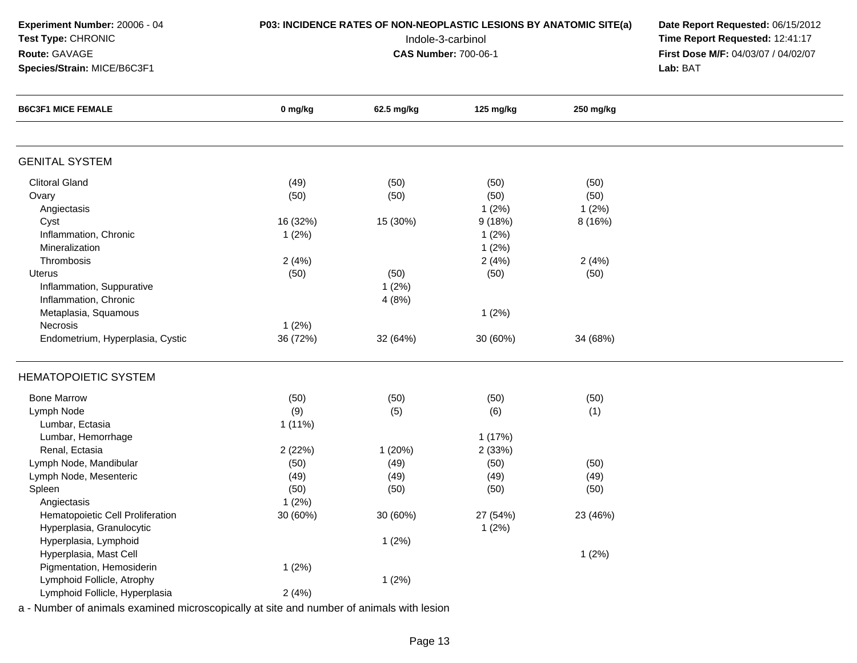**Species/Strain:** MICE/B6C3F1

**Test Type:** CHRONIC

**Route:** GAVAGE

**P03: INCIDENCE RATES OF NON-NEOPLASTIC LESIONS BY ANATOMIC SITE(a) Date Report Requested: 06/15/2012<br>12:41:17 Time Report Requested: 12:41:17**  Indole-3-carbinol **Time Report Requested:** 12:41:17 **First Dose M/F:** 04/03/07 / 04/02/07<br>Lab: BAT **Lab:** BAT

| <b>B6C3F1 MICE FEMALE</b>        | 0 mg/kg  | 62.5 mg/kg | 125 mg/kg | 250 mg/kg |  |
|----------------------------------|----------|------------|-----------|-----------|--|
|                                  |          |            |           |           |  |
| <b>GENITAL SYSTEM</b>            |          |            |           |           |  |
| <b>Clitoral Gland</b>            | (49)     | (50)       | (50)      | (50)      |  |
| Ovary                            | (50)     | (50)       | (50)      | (50)      |  |
| Angiectasis                      |          |            | 1(2%)     | 1(2%)     |  |
| Cyst                             | 16 (32%) | 15 (30%)   | 9(18%)    | 8 (16%)   |  |
| Inflammation, Chronic            | 1(2%)    |            | 1(2%)     |           |  |
| Mineralization                   |          |            | 1(2%)     |           |  |
| Thrombosis                       | 2(4%)    |            | 2(4%)     | 2(4%)     |  |
| Uterus                           | (50)     | (50)       | (50)      | (50)      |  |
| Inflammation, Suppurative        |          | 1(2%)      |           |           |  |
| Inflammation, Chronic            |          | 4(8%)      |           |           |  |
| Metaplasia, Squamous             |          |            | 1(2%)     |           |  |
| Necrosis                         | 1(2%)    |            |           |           |  |
| Endometrium, Hyperplasia, Cystic | 36 (72%) | 32 (64%)   | 30 (60%)  | 34 (68%)  |  |
| <b>HEMATOPOIETIC SYSTEM</b>      |          |            |           |           |  |
| <b>Bone Marrow</b>               | (50)     | (50)       | (50)      | (50)      |  |
| Lymph Node                       | (9)      | (5)        | (6)       | (1)       |  |
| Lumbar, Ectasia                  | 1(11%)   |            |           |           |  |
| Lumbar, Hemorrhage               |          |            | 1(17%)    |           |  |
| Renal, Ectasia                   | 2(22%)   | 1(20%)     | 2(33%)    |           |  |
| Lymph Node, Mandibular           | (50)     | (49)       | (50)      | (50)      |  |
| Lymph Node, Mesenteric           | (49)     | (49)       | (49)      | (49)      |  |
| Spleen                           | (50)     | (50)       | (50)      | (50)      |  |
| Angiectasis                      | 1(2%)    |            |           |           |  |
| Hematopoietic Cell Proliferation | 30 (60%) | 30 (60%)   | 27 (54%)  | 23 (46%)  |  |
| Hyperplasia, Granulocytic        |          |            | 1(2%)     |           |  |
| Hyperplasia, Lymphoid            |          | 1(2%)      |           |           |  |
| Hyperplasia, Mast Cell           |          |            |           | 1(2%)     |  |
| Pigmentation, Hemosiderin        | 1(2%)    |            |           |           |  |
| Lymphoid Follicle, Atrophy       |          | 1(2%)      |           |           |  |
| Lymphoid Follicle, Hyperplasia   | 2(4%)    |            |           |           |  |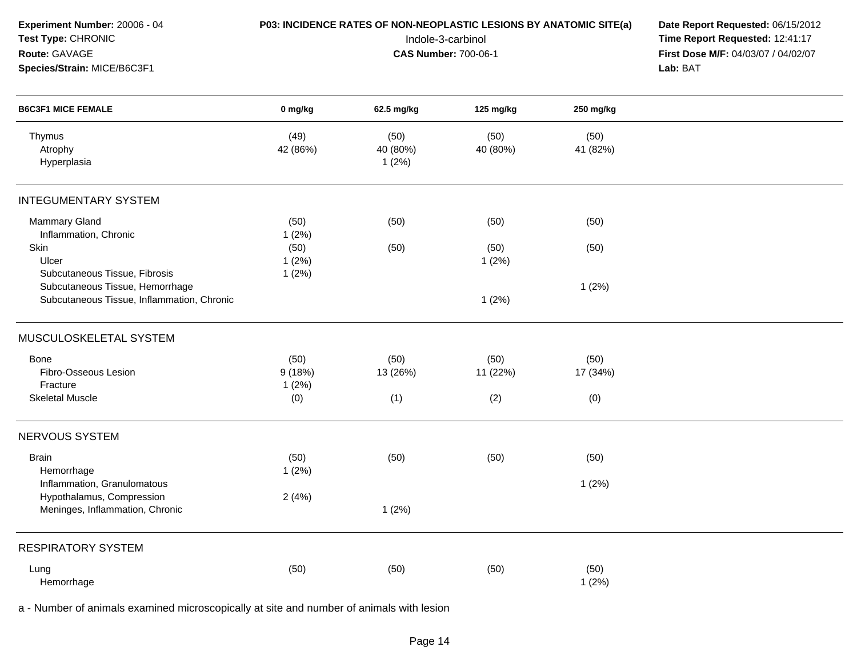| Experiment Number: 20006 - 04<br>Test Type: CHRONIC<br>Route: GAVAGE          |                         | P03: INCIDENCE RATES OF NON-NEOPLASTIC LESIONS BY ANATOMIC SITE(a)<br>Indole-3-carbinol<br><b>CAS Number: 700-06-1</b> | Date Report Requested: 06/15/2012<br>Time Report Requested: 12:41:17<br>First Dose M/F: 04/03/07 / 04/02/07 |                  |          |
|-------------------------------------------------------------------------------|-------------------------|------------------------------------------------------------------------------------------------------------------------|-------------------------------------------------------------------------------------------------------------|------------------|----------|
| Species/Strain: MICE/B6C3F1                                                   |                         |                                                                                                                        |                                                                                                             |                  | Lab: BAT |
| <b>B6C3F1 MICE FEMALE</b>                                                     | 0 mg/kg                 | 62.5 mg/kg                                                                                                             | 125 mg/kg                                                                                                   | 250 mg/kg        |          |
| Thymus<br>Atrophy<br>Hyperplasia                                              | (49)<br>42 (86%)        | (50)<br>40 (80%)<br>1(2%)                                                                                              | (50)<br>40 (80%)                                                                                            | (50)<br>41 (82%) |          |
| <b>INTEGUMENTARY SYSTEM</b>                                                   |                         |                                                                                                                        |                                                                                                             |                  |          |
| <b>Mammary Gland</b><br>Inflammation, Chronic                                 | (50)<br>1(2%)           | (50)                                                                                                                   | (50)                                                                                                        | (50)             |          |
| Skin<br>Ulcer<br>Subcutaneous Tissue, Fibrosis                                | (50)<br>1(2%)<br>1(2%)  | (50)                                                                                                                   | (50)<br>1(2%)                                                                                               | (50)             |          |
| Subcutaneous Tissue, Hemorrhage<br>Subcutaneous Tissue, Inflammation, Chronic |                         |                                                                                                                        | 1(2%)                                                                                                       | 1(2%)            |          |
| MUSCULOSKELETAL SYSTEM                                                        |                         |                                                                                                                        |                                                                                                             |                  |          |
| Bone<br>Fibro-Osseous Lesion<br>Fracture                                      | (50)<br>9(18%)<br>1(2%) | (50)<br>13 (26%)                                                                                                       | (50)<br>11 (22%)                                                                                            | (50)<br>17 (34%) |          |
| <b>Skeletal Muscle</b>                                                        | (0)                     | (1)                                                                                                                    | (2)                                                                                                         | (0)              |          |
| NERVOUS SYSTEM                                                                |                         |                                                                                                                        |                                                                                                             |                  |          |
| <b>Brain</b><br>Hemorrhage                                                    | (50)<br>1(2%)           | (50)                                                                                                                   | (50)                                                                                                        | (50)             |          |
| Inflammation, Granulomatous<br>Hypothalamus, Compression                      | 2(4%)                   |                                                                                                                        |                                                                                                             | 1(2%)            |          |
| Meninges, Inflammation, Chronic                                               |                         | 1(2%)                                                                                                                  |                                                                                                             |                  |          |
| <b>RESPIRATORY SYSTEM</b>                                                     |                         |                                                                                                                        |                                                                                                             |                  |          |
| Lung<br>Hemorrhage                                                            | (50)                    | (50)                                                                                                                   | (50)                                                                                                        | (50)<br>1(2%)    |          |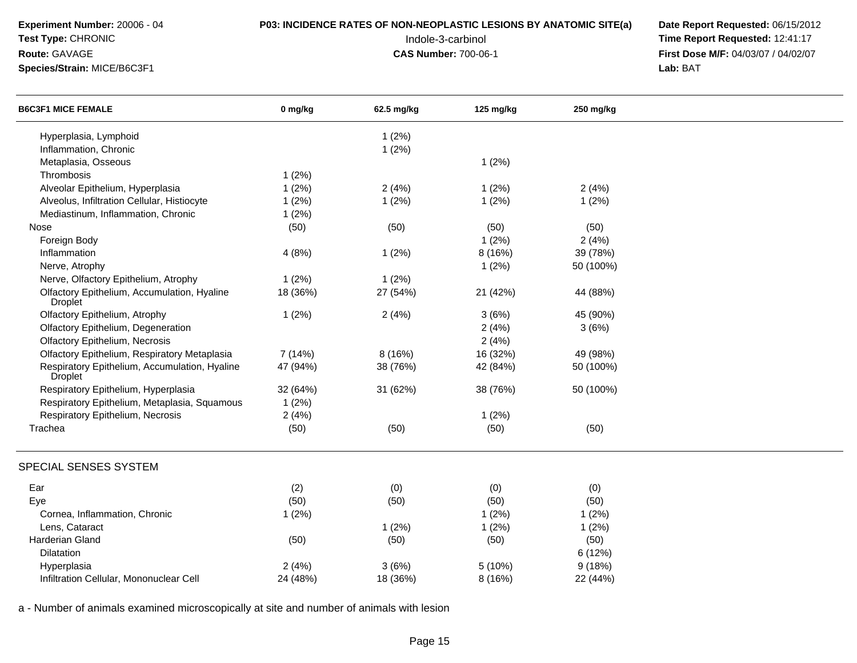## **P03: INCIDENCE RATES OF NON-NEOPLASTIC LESIONS BY ANATOMIC SITE(a) Date Report Requested: 06/15/2012<br>12:41:17 Time Report Requested: 12:41:17**

**Test Type:** CHRONIC

### **Route:** GAVAGE

**Species/Strain:** MICE/B6C3F1

 Indole-3-carbinol **Time Report Requested:** 12:41:17 **First Dose M/F:** 04/03/07 / 04/02/07<br>Lab: BAT **Lab:** BAT

| <b>B6C3F1 MICE FEMALE</b>                                       | 0 mg/kg  | 62.5 mg/kg | 125 mg/kg | 250 mg/kg |  |
|-----------------------------------------------------------------|----------|------------|-----------|-----------|--|
| Hyperplasia, Lymphoid                                           |          | 1(2%)      |           |           |  |
| Inflammation, Chronic                                           |          | 1(2%)      |           |           |  |
| Metaplasia, Osseous                                             |          |            | 1(2%)     |           |  |
| Thrombosis                                                      | 1(2%)    |            |           |           |  |
| Alveolar Epithelium, Hyperplasia                                | 1(2%)    | 2(4%)      | 1(2%)     | 2(4%)     |  |
| Alveolus, Infiltration Cellular, Histiocyte                     | 1(2%)    | 1(2%)      | 1(2%)     | 1(2%)     |  |
| Mediastinum, Inflammation, Chronic                              | 1(2%)    |            |           |           |  |
| Nose                                                            | (50)     | (50)       | (50)      | (50)      |  |
| Foreign Body                                                    |          |            | 1(2%)     | 2(4%)     |  |
| Inflammation                                                    | 4(8%)    | 1(2%)      | 8 (16%)   | 39 (78%)  |  |
| Nerve, Atrophy                                                  |          |            | 1(2%)     | 50 (100%) |  |
| Nerve, Olfactory Epithelium, Atrophy                            | 1(2%)    | 1(2%)      |           |           |  |
| Olfactory Epithelium, Accumulation, Hyaline<br><b>Droplet</b>   | 18 (36%) | 27 (54%)   | 21 (42%)  | 44 (88%)  |  |
| Olfactory Epithelium, Atrophy                                   | 1(2%)    | 2(4%)      | 3(6%)     | 45 (90%)  |  |
| Olfactory Epithelium, Degeneration                              |          |            | 2(4%)     | 3(6%)     |  |
| Olfactory Epithelium, Necrosis                                  |          |            | 2(4%)     |           |  |
| Olfactory Epithelium, Respiratory Metaplasia                    | 7 (14%)  | 8(16%)     | 16 (32%)  | 49 (98%)  |  |
| Respiratory Epithelium, Accumulation, Hyaline<br><b>Droplet</b> | 47 (94%) | 38 (76%)   | 42 (84%)  | 50 (100%) |  |
| Respiratory Epithelium, Hyperplasia                             | 32 (64%) | 31 (62%)   | 38 (76%)  | 50 (100%) |  |
| Respiratory Epithelium, Metaplasia, Squamous                    | 1(2%)    |            |           |           |  |
| Respiratory Epithelium, Necrosis                                | 2(4%)    |            | 1(2%)     |           |  |
| Trachea                                                         | (50)     | (50)       | (50)      | (50)      |  |
| SPECIAL SENSES SYSTEM                                           |          |            |           |           |  |
| Ear                                                             | (2)      | (0)        | (0)       | (0)       |  |
| Eye                                                             | (50)     | (50)       | (50)      | (50)      |  |
| Cornea, Inflammation, Chronic                                   | 1(2%)    |            | 1(2%)     | 1(2%)     |  |
| Lens, Cataract                                                  |          | 1(2%)      | 1(2%)     | 1(2%)     |  |
| Harderian Gland                                                 | (50)     | (50)       | (50)      | (50)      |  |
| Dilatation                                                      |          |            |           | 6 (12%)   |  |
| Hyperplasia                                                     | 2(4%)    | 3(6%)      | 5(10%)    | 9(18%)    |  |
| Infiltration Cellular, Mononuclear Cell                         | 24 (48%) | 18 (36%)   | 8 (16%)   | 22 (44%)  |  |